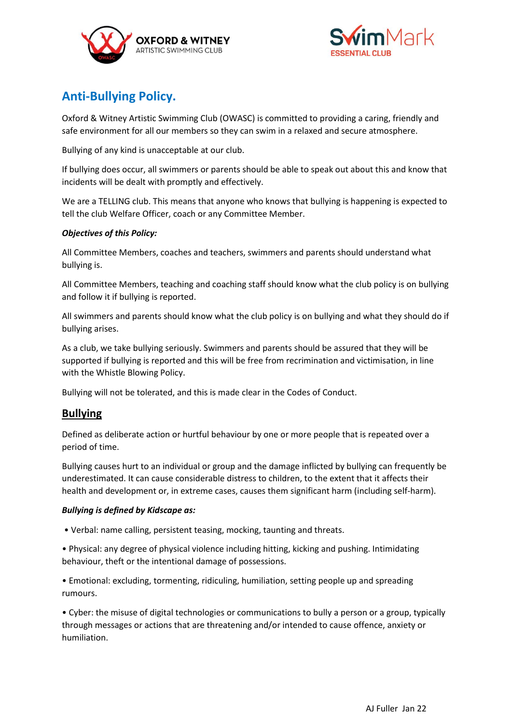



# **Anti-Bullying Policy.**

Oxford & Witney Artistic Swimming Club (OWASC) is committed to providing a caring, friendly and safe environment for all our members so they can swim in a relaxed and secure atmosphere.

Bullying of any kind is unacceptable at our club.

If bullying does occur, all swimmers or parents should be able to speak out about this and know that incidents will be dealt with promptly and effectively.

We are a TELLING club. This means that anyone who knows that bullying is happening is expected to tell the club Welfare Officer, coach or any Committee Member.

### *Objectives of this Policy:*

All Committee Members, coaches and teachers, swimmers and parents should understand what bullying is.

All Committee Members, teaching and coaching staff should know what the club policy is on bullying and follow it if bullying is reported.

All swimmers and parents should know what the club policy is on bullying and what they should do if bullying arises.

As a club, we take bullying seriously. Swimmers and parents should be assured that they will be supported if bullying is reported and this will be free from recrimination and victimisation, in line with the Whistle Blowing Policy.

Bullying will not be tolerated, and this is made clear in the Codes of Conduct.

## **Bullying**

Defined as deliberate action or hurtful behaviour by one or more people that is repeated over a period of time.

Bullying causes hurt to an individual or group and the damage inflicted by bullying can frequently be underestimated. It can cause considerable distress to children, to the extent that it affects their health and development or, in extreme cases, causes them significant harm (including self-harm).

#### *Bullying is defined by Kidscape as:*

• Verbal: name calling, persistent teasing, mocking, taunting and threats.

• Physical: any degree of physical violence including hitting, kicking and pushing. Intimidating behaviour, theft or the intentional damage of possessions.

• Emotional: excluding, tormenting, ridiculing, humiliation, setting people up and spreading rumours.

• Cyber: the misuse of digital technologies or communications to bully a person or a group, typically through messages or actions that are threatening and/or intended to cause offence, anxiety or humiliation.